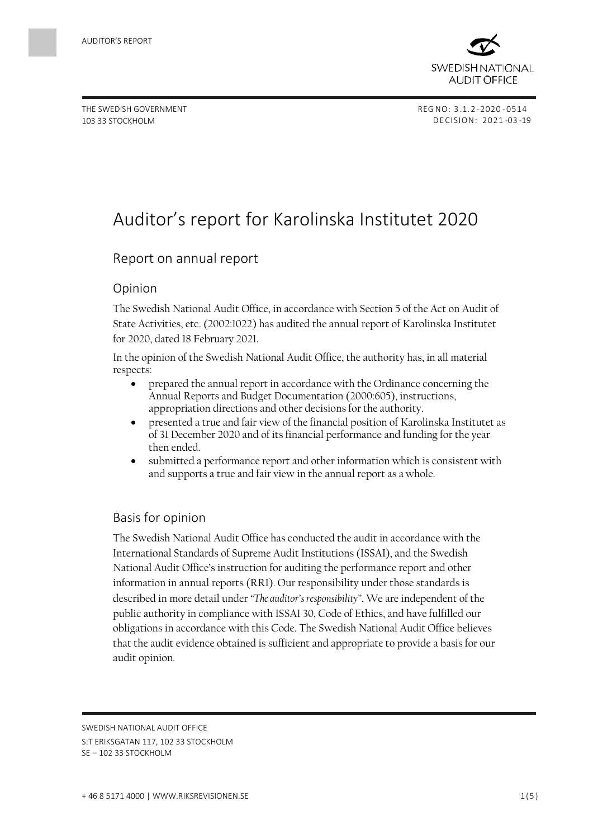

THE SWEDISH GOVERNMENT 103 33 STOCKHOLM

# Auditor's report for Karolinska Institutet 2020

# Report on annual report

#### Opinion

The Swedish National Audit Office, in accordance with Section 5 of the Act on Audit of State Activities, etc. (2002:1022) has audited the annual report of Karolinska Institutet for 2020, dated 18 February 2021.

In the opinion of the Swedish National Audit Office, the authority has, in all material respects:

- prepared the annual report in accordance with the Ordinance concerning the Annual Reports and Budget Documentation (2000:605), instructions, appropriation directions and other decisions for the authority.
- presented a true and fair view of the financial position of Karolinska Institutet as of 31 December 2020 and of its financial performance and funding for the year then ended.
- submitted a performance report and other information which is consistent with and supports a true and fair view in the annual report as a whole.

## Basis for opinion

The Swedish National Audit Office has conducted the audit in accordance with the International Standards of Supreme Audit Institutions (ISSAI), and the Swedish National Audit Office's instruction for auditing the performance report and other information in annual reports (RRI). Our responsibility under those standards is described in more detail under *"The auditor's responsibility"*. We are independent of the public authority in compliance with ISSAI 30, Code of Ethics, and have fulfilled our obligations in accordance with this Code. The Swedish National Audit Office believes that the audit evidence obtained is sufficient and appropriate to provide a basis for our audit opinion.

SWEDISH NATIONAL AUDIT OFFICE

S:T ERIKSGATAN 117, 102 33 STOCKHOLM

SE – 102 33 STOCKHOLM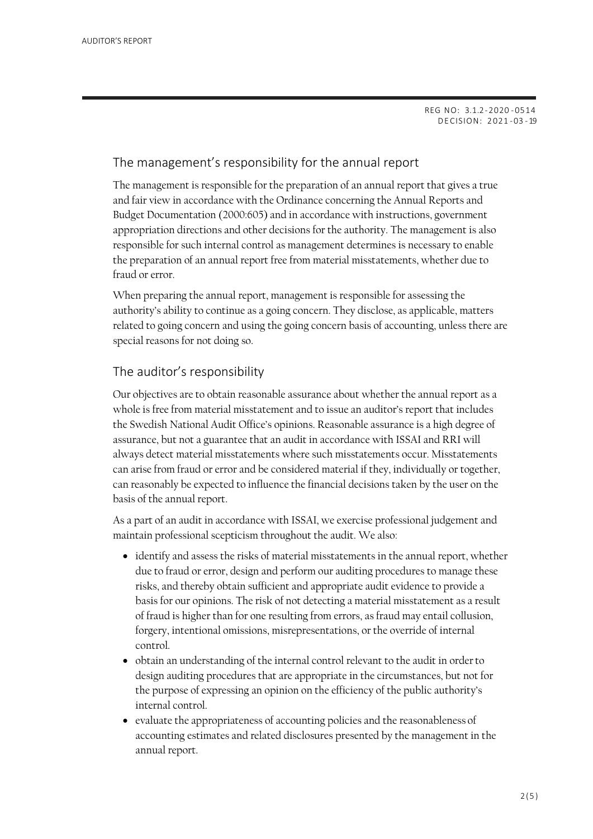REG NO: 3.1.2-2020 - 0514 DECISION: 2 021 -03 -19

# The management's responsibility for the annual report

The management is responsible for the preparation of an annual report that gives a true and fair view in accordance with the Ordinance concerning the Annual Reports and Budget Documentation (2000:605) and in accordance with instructions, government appropriation directions and other decisions for the authority. The management is also responsible for such internal control as management determines is necessary to enable the preparation of an annual report free from material misstatements, whether due to fraud or error.

When preparing the annual report, management is responsible for assessing the authority's ability to continue as a going concern. They disclose, as applicable, matters related to going concern and using the going concern basis of accounting, unless there are special reasons for not doing so.

# The auditor's responsibility

Our objectives are to obtain reasonable assurance about whether the annual report as a whole is free from material misstatement and to issue an auditor's report that includes the Swedish National Audit Office's opinions. Reasonable assurance is a high degree of assurance, but not a guarantee that an audit in accordance with ISSAI and RRI will always detect material misstatements where such misstatements occur. Misstatements can arise from fraud or error and be considered material if they, individually or together, can reasonably be expected to influence the financial decisions taken by the user on the basis of the annual report.

As a part of an audit in accordance with ISSAI, we exercise professional judgement and maintain professional scepticism throughout the audit. We also:

- identify and assess the risks of material misstatements in the annual report, whether due to fraud or error, design and perform our auditing procedures to manage these risks, and thereby obtain sufficient and appropriate audit evidence to provide a basis for our opinions. The risk of not detecting a material misstatement as a result of fraud is higher than for one resulting from errors, as fraud may entail collusion, forgery, intentional omissions, misrepresentations, or the override of internal control.
- obtain an understanding of the internal control relevant to the audit in orderto design auditing procedures that are appropriate in the circumstances, but not for the purpose of expressing an opinion on the efficiency of the public authority's internal control.
- evaluate the appropriateness of accounting policies and the reasonableness of accounting estimates and related disclosures presented by the management in the annual report.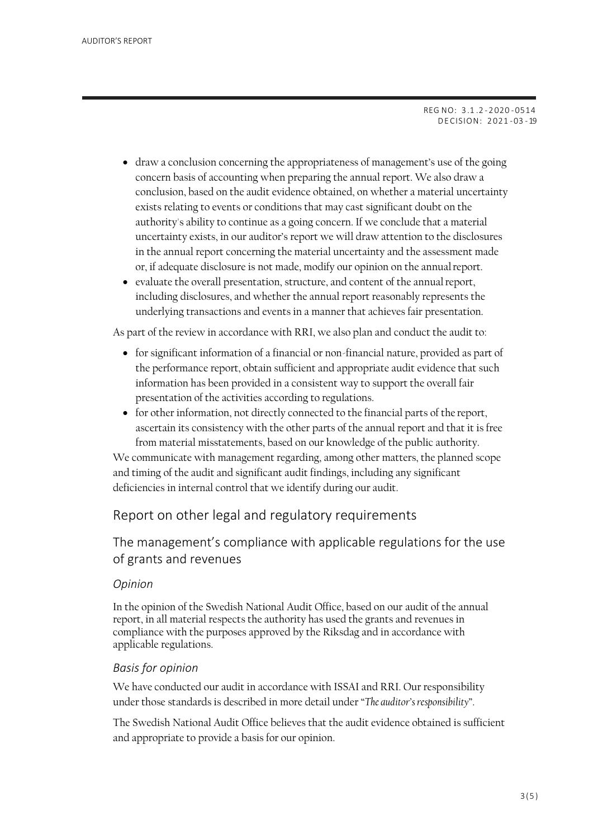REG NO: 3.1 .2 -2 020 -0514 DECISION: 2 021 -03 -19

- draw a conclusion concerning the appropriateness of management's use of the going concern basis of accounting when preparing the annual report. We also draw a conclusion, based on the audit evidence obtained, on whether a material uncertainty exists relating to events or conditions that may cast significant doubt on the authority's ability to continue as a going concern. If we conclude that a material uncertainty exists, in our auditor's report we will draw attention to the disclosures in the annual report concerning the material uncertainty and the assessment made or, if adequate disclosure is not made, modify our opinion on the annualreport.
- evaluate the overall presentation, structure, and content of the annualreport, including disclosures, and whether the annual report reasonably represents the underlying transactions and events in a manner that achieves fair presentation.

As part of the review in accordance with RRI, we also plan and conduct the audit to:

- for significant information of a financial or non-financial nature, provided as part of the performance report, obtain sufficient and appropriate audit evidence that such information has been provided in a consistent way to support the overall fair presentation of the activities according to regulations.
- for other information, not directly connected to the financial parts of the report, ascertain its consistency with the other parts of the annual report and that it is free from material misstatements, based on our knowledge of the public authority.

We communicate with management regarding, among other matters, the planned scope and timing of the audit and significant audit findings, including any significant deficiencies in internal control that we identify during our audit.

# Report on other legal and regulatory requirements

The management's compliance with applicable regulations for the use of grants and revenues

#### *Opinion*

In the opinion of the Swedish National Audit Office, based on our audit of the annual report, in all material respects the authority has used the grants and revenues in compliance with the purposes approved by the Riksdag and in accordance with applicable regulations.

#### *Basis for opinion*

We have conducted our audit in accordance with ISSAI and RRI. Our responsibility under those standards is described in more detail under "*The auditor's responsibility*".

The Swedish National Audit Office believes that the audit evidence obtained is sufficient and appropriate to provide a basis for our opinion.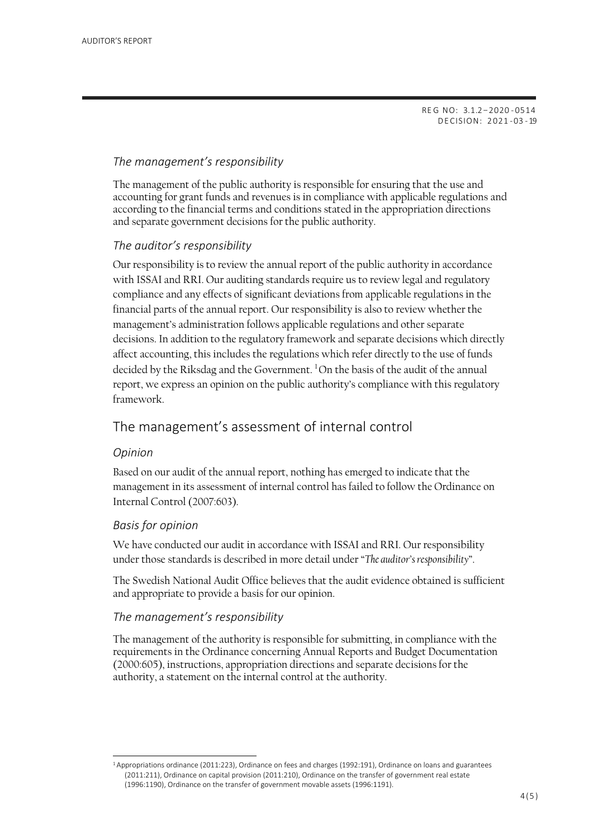RE G NO: 3.1.2–2020 - 0514 DECISION: 2 021 -03 -19

# *The management's responsibility*

The management of the public authority is responsible for ensuring that the use and accounting for grant funds and revenues is in compliance with applicable regulations and according to the financial terms and conditions stated in the appropriation directions and separate government decisions for the public authority.

## *The auditor's responsibility*

Our responsibility is to review the annual report of the public authority in accordance with ISSAI and RRI. Our auditing standards require us to review legal and regulatory compliance and any effects of significant deviations from applicable regulations in the financial parts of the annual report. Our responsibility is also to review whether the management's administration follows applicable regulations and other separate decisions. In addition to the regulatory framework and separate decisions which directly affect accounting, this includes the regulations which refer directly to the use of funds decidedby the Riksdag and the Government.  $1$ On the basis of the audit of the annual report, we express an opinion on the public authority's compliance with this regulatory framework.

# The management's assessment of internal control

#### *Opinion*

Based on our audit of the annual report, nothing has emerged to indicate that the management in its assessment of internal control has failed to follow the Ordinance on Internal Control (2007:603).

## *Basis for opinion*

We have conducted our audit in accordance with ISSAI and RRI. Our responsibility under those standards is described in more detail under "*The auditor's responsibility*".

The Swedish National Audit Office believes that the audit evidence obtained is sufficient and appropriate to provide a basis for our opinion.

#### *The management's responsibility*

The management of the authority is responsible for submitting, in compliance with the requirements in the Ordinance concerning Annual Reports and Budget Documentation (2000:605), instructions, appropriation directions and separate decisions for the authority, a statement on the internal control at the authority.

<span id="page-3-0"></span><sup>1</sup>Appropriations ordinance (2011:223), Ordinance on fees and charges (1992:191), Ordinance on loans and guarantees (2011:211), Ordinance on capital provision (2011:210), Ordinance on the transfer of government real estate (1996:1190), Ordinance on the transfer of government movable assets (1996:1191).